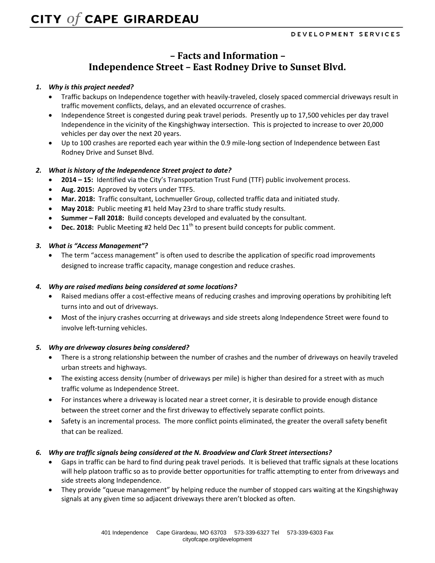# **– Facts and Information – Independence Street – East Rodney Drive to Sunset Blvd.**

### *1. Why is this project needed?*

- Traffic backups on Independence together with heavily-traveled, closely spaced commercial driveways result in traffic movement conflicts, delays, and an elevated occurrence of crashes.
- Independence Street is congested during peak travel periods. Presently up to 17,500 vehicles per day travel Independence in the vicinity of the Kingshighway intersection. This is projected to increase to over 20,000 vehicles per day over the next 20 years.
- Up to 100 crashes are reported each year within the 0.9 mile-long section of Independence between East Rodney Drive and Sunset Blvd.

### *2. What is history of the Independence Street project to date?*

- **2014 – 15:** Identified via the City's Transportation Trust Fund (TTF) public involvement process.
- **Aug. 2015:** Approved by voters under TTF5.
- **Mar. 2018:** Traffic consultant, Lochmueller Group, collected traffic data and initiated study.
- **May 2018:** Public meeting #1 held May 23rd to share traffic study results.
- **Summer – Fall 2018:** Build concepts developed and evaluated by the consultant.
- **•** Dec. 2018: Public Meeting #2 held Dec  $11<sup>th</sup>$  to present build concepts for public comment.

### *3. What is "Access Management"?*

 The term "access management" is often used to describe the application of specific road improvements designed to increase traffic capacity, manage congestion and reduce crashes.

#### *4. Why are raised medians being considered at some locations?*

- Raised medians offer a cost-effective means of reducing crashes and improving operations by prohibiting left turns into and out of driveways.
- Most of the injury crashes occurring at driveways and side streets along Independence Street were found to involve left-turning vehicles.

#### *5. Why are driveway closures being considered?*

- There is a strong relationship between the number of crashes and the number of driveways on heavily traveled urban streets and highways.
- The existing access density (number of driveways per mile) is higher than desired for a street with as much traffic volume as Independence Street.
- For instances where a driveway is located near a street corner, it is desirable to provide enough distance between the street corner and the first driveway to effectively separate conflict points.
- Safety is an incremental process. The more conflict points eliminated, the greater the overall safety benefit that can be realized.

#### *6. Why are traffic signals being considered at the N. Broadview and Clark Street intersections?*

- Gaps in traffic can be hard to find during peak travel periods. It is believed that traffic signals at these locations will help platoon traffic so as to provide better opportunities for traffic attempting to enter from driveways and side streets along Independence.
- They provide "queue management" by helping reduce the number of stopped cars waiting at the Kingshighway signals at any given time so adjacent driveways there aren't blocked as often.